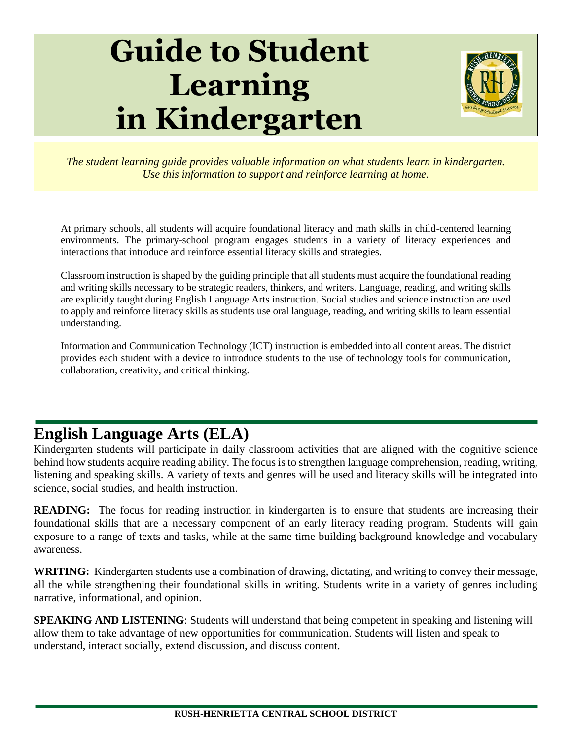# **Guide to Student Learning in Kindergarten**



*The student learning guide provides valuable information on what students learn in kindergarten. Use this information to support and reinforce learning at home.*

At primary schools, all students will acquire foundational literacy and math skills in child-centered learning environments. The primary-school program engages students in a variety of literacy experiences and interactions that introduce and reinforce essential literacy skills and strategies.

Classroom instruction is shaped by the guiding principle that all students must acquire the foundational reading and writing skills necessary to be strategic readers, thinkers, and writers. Language, reading, and writing skills are explicitly taught during English Language Arts instruction. Social studies and science instruction are used to apply and reinforce literacy skills as students use oral language, reading, and writing skills to learn essential understanding.

Information and Communication Technology (ICT) instruction is embedded into all content areas. The district provides each student with a device to introduce students to the use of technology tools for communication, collaboration, creativity, and critical thinking.

# **English Language Arts (ELA)**

Kindergarten students will participate in daily classroom activities that are aligned with the cognitive science behind how students acquire reading ability. The focus is to strengthen language comprehension, reading, writing, listening and speaking skills. A variety of texts and genres will be used and literacy skills will be integrated into science, social studies, and health instruction.

**READING:** The focus for reading instruction in kindergarten is to ensure that students are increasing their foundational skills that are a necessary component of an early literacy reading program. Students will gain exposure to a range of texts and tasks, while at the same time building background knowledge and vocabulary awareness.

**WRITING:** Kindergarten students use a combination of drawing, dictating, and writing to convey their message, all the while strengthening their foundational skills in writing. Students write in a variety of genres including narrative, informational, and opinion.

**SPEAKING AND LISTENING**: Students will understand that being competent in speaking and listening will allow them to take advantage of new opportunities for communication. Students will listen and speak to understand, interact socially, extend discussion, and discuss content.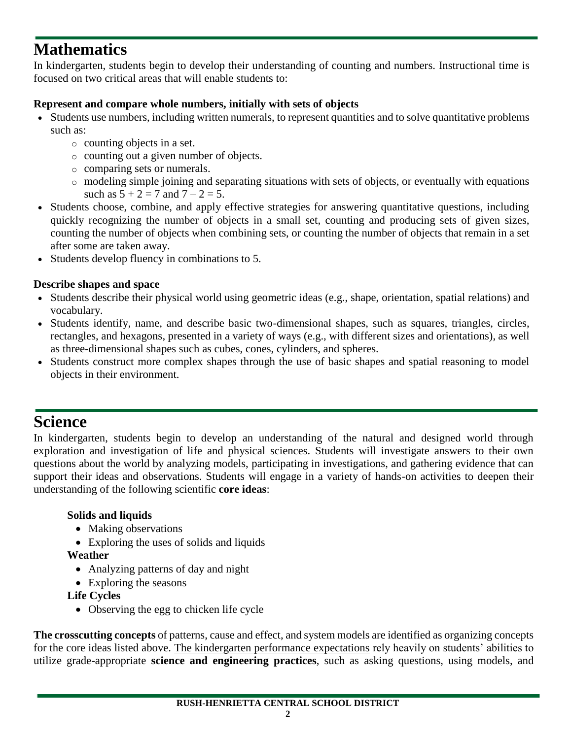# **Mathematics**

In kindergarten, students begin to develop their understanding of counting and numbers. Instructional time is focused on two critical areas that will enable students to:

#### **Represent and compare whole numbers, initially with sets of objects**

- Students use numbers, including written numerals, to represent quantities and to solve quantitative problems such as:
	- o counting objects in a set.
	- o counting out a given number of objects.
	- o comparing sets or numerals.
	- o modeling simple joining and separating situations with sets of objects, or eventually with equations such as  $5 + 2 = 7$  and  $7 - 2 = 5$ .
- Students choose, combine, and apply effective strategies for answering quantitative questions, including quickly recognizing the number of objects in a small set, counting and producing sets of given sizes, counting the number of objects when combining sets, or counting the number of objects that remain in a set after some are taken away.
- Students develop fluency in combinations to 5.

#### **Describe shapes and space**

- Students describe their physical world using geometric ideas (e.g., shape, orientation, spatial relations) and vocabulary.
- Students identify, name, and describe basic two-dimensional shapes, such as squares, triangles, circles, rectangles, and hexagons, presented in a variety of ways (e.g., with different sizes and orientations), as well as three-dimensional shapes such as cubes, cones, cylinders, and spheres.
- Students construct more complex shapes through the use of basic shapes and spatial reasoning to model objects in their environment.

## **Science**

In kindergarten, students begin to develop an understanding of the natural and designed world through exploration and investigation of life and physical sciences. Students will investigate answers to their own questions about the world by analyzing models, participating in investigations, and gathering evidence that can support their ideas and observations. Students will engage in a variety of hands-on activities to deepen their understanding of the following scientific **core ideas**:

#### **Solids and liquids**

- Making observations
- Exploring the uses of solids and liquids

#### **Weather**

- Analyzing patterns of day and night
- Exploring the seasons

**Life Cycles**

• Observing the egg to chicken life cycle

**The crosscutting concepts** of patterns, cause and effect, and system models are identified as organizing concepts for the core ideas listed above. The kindergarten performance expectations rely heavily on students' abilities to utilize grade-appropriate **science and engineering practices**, such as asking questions, using models, and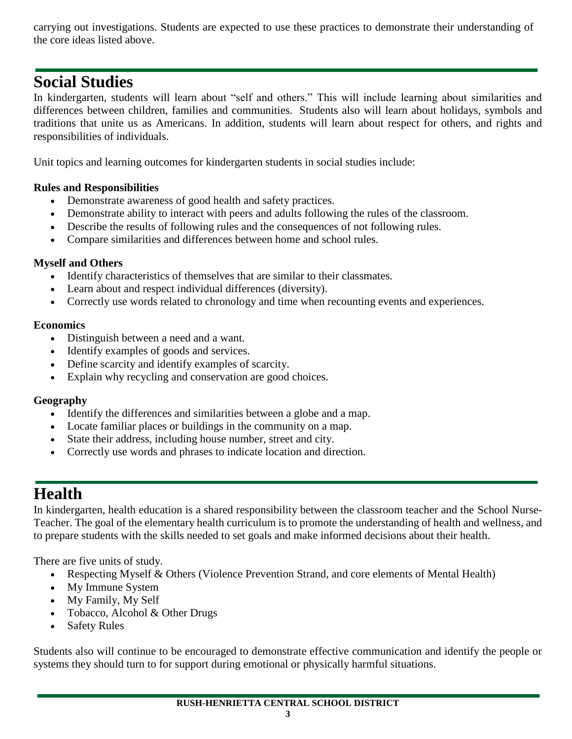carrying out investigations. Students are expected to use these practices to demonstrate their understanding of the core ideas listed above.

### **Social Studies**

In kindergarten, students will learn about "self and others." This will include learning about similarities and differences between children, families and communities. Students also will learn about holidays, symbols and traditions that unite us as Americans. In addition, students will learn about respect for others, and rights and responsibilities of individuals.

Unit topics and learning outcomes for kindergarten students in social studies include:

#### **Rules and Responsibilities**

- Demonstrate awareness of good health and safety practices.
- Demonstrate ability to interact with peers and adults following the rules of the classroom.
- Describe the results of following rules and the consequences of not following rules.
- Compare similarities and differences between home and school rules.

#### **Myself and Others**

- Identify characteristics of themselves that are similar to their classmates.
- Learn about and respect individual differences (diversity).
- Correctly use words related to chronology and time when recounting events and experiences.

#### **Economics**

- Distinguish between a need and a want.
- Identify examples of goods and services.
- Define scarcity and identify examples of scarcity.
- Explain why recycling and conservation are good choices.

#### **Geography**

- Identify the differences and similarities between a globe and a map.
- Locate familiar places or buildings in the community on a map.
- State their address, including house number, street and city.
- Correctly use words and phrases to indicate location and direction.

## **Health**

In kindergarten, health education is a shared responsibility between the classroom teacher and the School Nurse-Teacher. The goal of the elementary health curriculum is to promote the understanding of health and wellness, and to prepare students with the skills needed to set goals and make informed decisions about their health.

There are five units of study.

- Respecting Myself & Others (Violence Prevention Strand, and core elements of Mental Health)
- My Immune System
- My Family, My Self
- Tobacco, Alcohol & Other Drugs
- Safety Rules

Students also will continue to be encouraged to demonstrate effective communication and identify the people or systems they should turn to for support during emotional or physically harmful situations.

**RUSH-HENRIETTA CENTRAL SCHOOL DISTRICT**